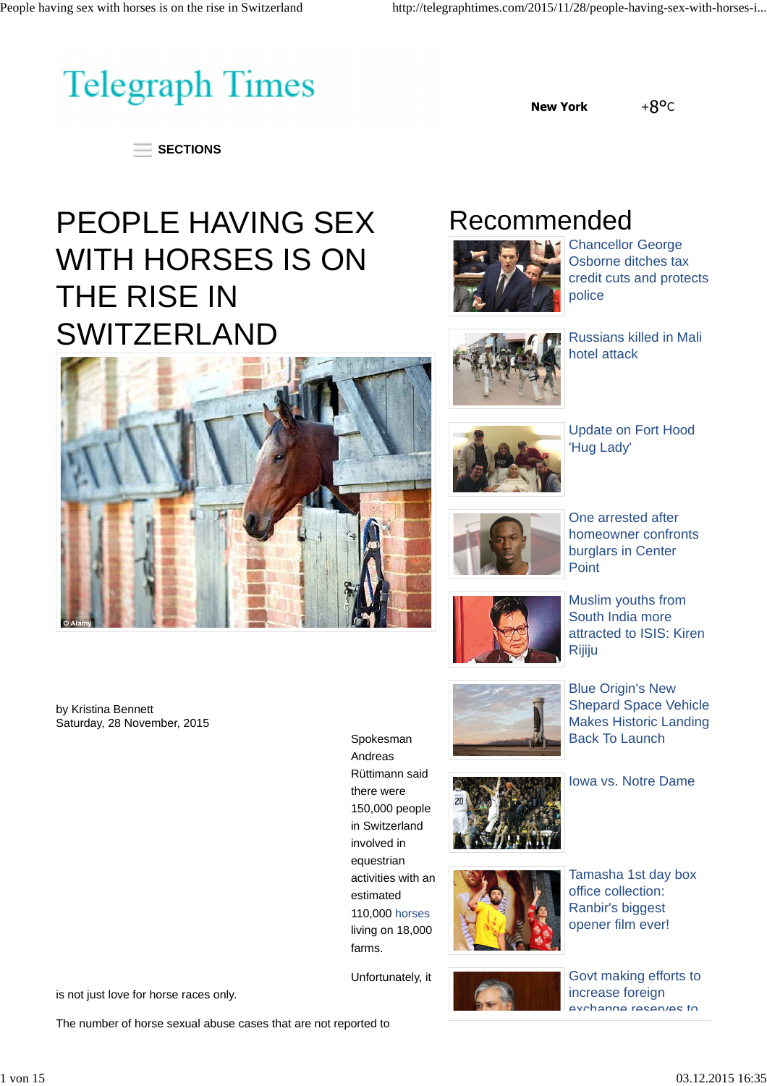

**New York** +8°C

 $=$  SECTIONS

## PEOPLE HAVING SEX WITH HORSES IS ON THE RISE IN **SWITZERLAND**



by Kristina Bennett Saturday, 28 November, 2015





Chancellor George Osborne ditches tax credit cuts and protects police



Russians killed in Mali hotel attack



Update on Fort Hood 'Hug Lady'



One arrested after homeowner confronts burglars in Center Point



Muslim youths from South India more attracted to ISIS: Kiren Rijiju



Blue Origin's New Shepard Space Vehicle Makes Historic Landing Back To Launch





Tamasha 1st day box office collection: Ranbir's biggest opener film ever!

Govt making efforts to increase foreign exchange reserves to

Unfortunately, it

farms.

Spokesman Andreas Rüttimann said there were 150,000 people in Switzerland involved in equestrian activities with an estimated 110,000 horses living on 18,000

is not just love for horse races only.

The number of horse sexual abuse cases that are not reported to